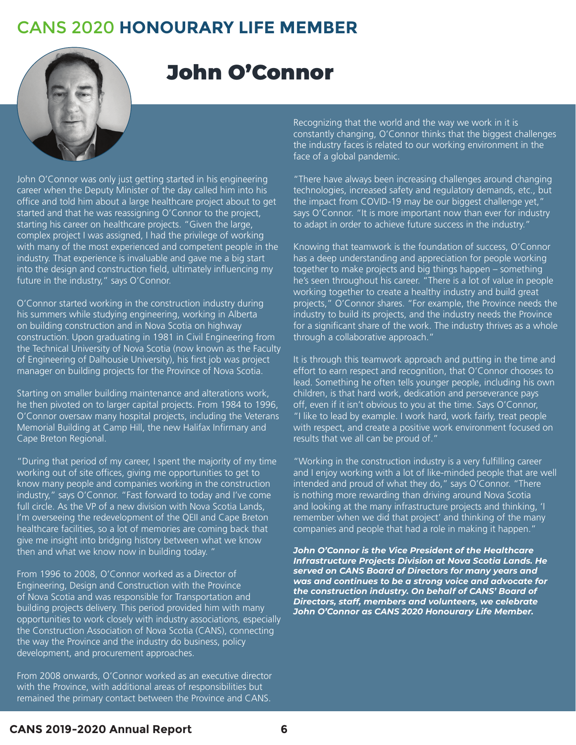## CANS 2020 **HONOURARY LIFE MEMBER**



## John O'Connor

John O'Connor was only just getting started in his engineering career when the Deputy Minister of the day called him into his office and told him about a large healthcare project about to get started and that he was reassigning O'Connor to the project, starting his career on healthcare projects. "Given the large, complex project I was assigned, I had the privilege of working with many of the most experienced and competent people in the industry. That experience is invaluable and gave me a big start into the design and construction field, ultimately influencing my future in the industry," says O'Connor.

O'Connor started working in the construction industry during his summers while studying engineering, working in Alberta on building construction and in Nova Scotia on highway construction. Upon graduating in 1981 in Civil Engineering from the Technical University of Nova Scotia (now known as the Faculty of Engineering of Dalhousie University), his first job was project manager on building projects for the Province of Nova Scotia.

Starting on smaller building maintenance and alterations work, he then pivoted on to larger capital projects. From 1984 to 1996, O'Connor oversaw many hospital projects, including the Veterans Memorial Building at Camp Hill, the new Halifax Infirmary and Cape Breton Regional.

"During that period of my career, I spent the majority of my time working out of site offices, giving me opportunities to get to know many people and companies working in the construction industry," says O'Connor. "Fast forward to today and I've come full circle. As the VP of a new division with Nova Scotia Lands, I'm overseeing the redevelopment of the QEII and Cape Breton healthcare facilities, so a lot of memories are coming back that give me insight into bridging history between what we know then and what we know now in building today. "

From 1996 to 2008, O'Connor worked as a Director of Engineering, Design and Construction with the Province of Nova Scotia and was responsible for Transportation and building projects delivery. This period provided him with many opportunities to work closely with industry associations, especially the Construction Association of Nova Scotia (CANS), connecting the way the Province and the industry do business, policy development, and procurement approaches.

From 2008 onwards, O'Connor worked as an executive director with the Province, with additional areas of responsibilities but remained the primary contact between the Province and CANS.

Recognizing that the world and the way we work in it is constantly changing, O'Connor thinks that the biggest challenges the industry faces is related to our working environment in the face of a global pandemic.

"There have always been increasing challenges around changing technologies, increased safety and regulatory demands, etc., but the impact from COVID-19 may be our biggest challenge yet," says O'Connor. "It is more important now than ever for industry to adapt in order to achieve future success in the industry."

Knowing that teamwork is the foundation of success, O'Connor has a deep understanding and appreciation for people working together to make projects and big things happen – something he's seen throughout his career. "There is a lot of value in people working together to create a healthy industry and build great projects," O'Connor shares. "For example, the Province needs the industry to build its projects, and the industry needs the Province for a significant share of the work. The industry thrives as a whole through a collaborative approach."

It is through this teamwork approach and putting in the time and effort to earn respect and recognition, that O'Connor chooses to lead. Something he often tells younger people, including his own children, is that hard work, dedication and perseverance pays off, even if it isn't obvious to you at the time. Says O'Connor, "I like to lead by example. I work hard, work fairly, treat people with respect, and create a positive work environment focused on results that we all can be proud of."

"Working in the construction industry is a very fulfilling career and I enjoy working with a lot of like-minded people that are well intended and proud of what they do," says O'Connor. "There is nothing more rewarding than driving around Nova Scotia and looking at the many infrastructure projects and thinking, 'I remember when we did that project' and thinking of the many companies and people that had a role in making it happen."

*John O'Connor is the Vice President of the Healthcare Infrastructure Projects Division at Nova Scotia Lands. He served on CANS Board of Directors for many years and was and continues to be a strong voice and advocate for the construction industry. On behalf of CANS' Board of Directors, staff, members and volunteers, we celebrate John O'Connor as CANS 2020 Honourary Life Member.*